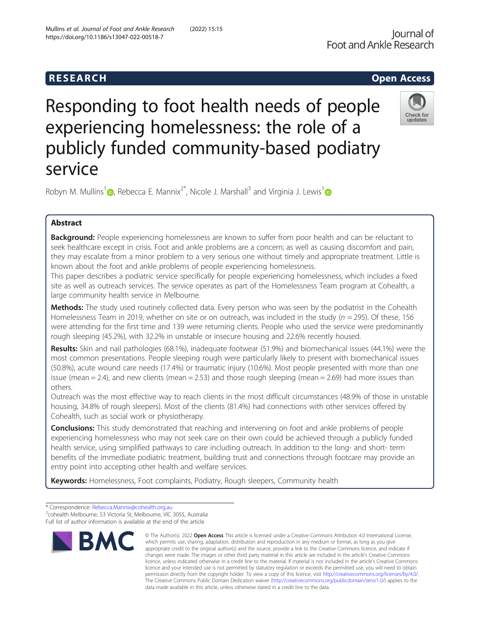# Responding to foot health needs of people experiencing homelessness: the role of a publicly funded community-based podiatry service



Robyn M. Mullins<sup>[1](http://orcid.org/0000-0001-6828-719X)</sup> $\odot$ , Rebecca E. Mannix<sup>2\*</sup>, Nicole J. Marshall<sup>3</sup> and Virginia J. Lewis<sup>1</sup> $\odot$ 

# Abstract

**Background:** People experiencing homelessness are known to suffer from poor health and can be reluctant to seek healthcare except in crisis. Foot and ankle problems are a concern; as well as causing discomfort and pain, they may escalate from a minor problem to a very serious one without timely and appropriate treatment. Little is known about the foot and ankle problems of people experiencing homelessness.

This paper describes a podiatric service specifically for people experiencing homelessness, which includes a fixed site as well as outreach services. The service operates as part of the Homelessness Team program at Cohealth, a large community health service in Melbourne.

Methods: The study used routinely collected data. Every person who was seen by the podiatrist in the Cohealth Homelessness Team in 2019, whether on site or on outreach, was included in the study ( $n = 295$ ). Of these, 156 were attending for the first time and 139 were returning clients. People who used the service were predominantly rough sleeping (45.2%), with 32.2% in unstable or insecure housing and 22.6% recently housed.

Results: Skin and nail pathologies (68.1%), inadequate footwear (51.9%) and biomechanical issues (44.1%) were the most common presentations. People sleeping rough were particularly likely to present with biomechanical issues (50.8%), acute wound care needs (17.4%) or traumatic injury (10.6%). Most people presented with more than one issue (mean = 2.4), and new clients (mean = 2.53) and those rough sleeping (mean = 2.69) had more issues than others.

Outreach was the most effective way to reach clients in the most difficult circumstances (48.9% of those in unstable housing, 34.8% of rough sleepers). Most of the clients (81.4%) had connections with other services offered by Cohealth, such as social work or physiotherapy.

**Conclusions:** This study demonstrated that reaching and intervening on foot and ankle problems of people experiencing homelessness who may not seek care on their own could be achieved through a publicly funded health service, using simplified pathways to care including outreach. In addition to the long- and short- term benefits of the immediate podiatric treatment, building trust and connections through footcare may provide an entry point into accepting other health and welfare services.

Keywords: Homelessness, Foot complaints, Podiatry, Rough sleepers, Community health

<sup>\*</sup> Correspondence: [Rebecca.Mannix@cohealth.org.au](mailto:Rebecca.Mannix@cohealth.org.au) <sup>2</sup> <sup>2</sup>cohealth Melbourne, 53 Victoria St, Melbourne, VIC 3055, Australia Full list of author information is available at the end of the article



<sup>©</sup> The Author(s), 2022 **Open Access** This article is licensed under a Creative Commons Attribution 4.0 International License, which permits use, sharing, adaptation, distribution and reproduction in any medium or format, as long as you give appropriate credit to the original author(s) and the source, provide a link to the Creative Commons licence, and indicate if changes were made. The images or other third party material in this article are included in the article's Creative Commons licence, unless indicated otherwise in a credit line to the material. If material is not included in the article's Creative Commons licence and your intended use is not permitted by statutory regulation or exceeds the permitted use, you will need to obtain permission directly from the copyright holder. To view a copy of this licence, visit [http://creativecommons.org/licenses/by/4.0/.](http://creativecommons.org/licenses/by/4.0/) The Creative Commons Public Domain Dedication waiver [\(http://creativecommons.org/publicdomain/zero/1.0/](http://creativecommons.org/publicdomain/zero/1.0/)) applies to the data made available in this article, unless otherwise stated in a credit line to the data.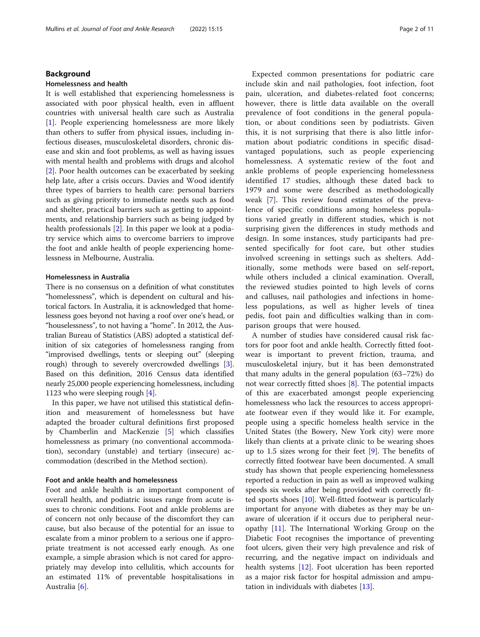# Background

#### Homelessness and health

It is well established that experiencing homelessness is associated with poor physical health, even in affluent countries with universal health care such as Australia [[1\]](#page-9-0). People experiencing homelessness are more likely than others to suffer from physical issues, including infectious diseases, musculoskeletal disorders, chronic disease and skin and foot problems, as well as having issues with mental health and problems with drugs and alcohol [[2\]](#page-9-0). Poor health outcomes can be exacerbated by seeking help late, after a crisis occurs. Davies and Wood identify three types of barriers to health care: personal barriers such as giving priority to immediate needs such as food and shelter, practical barriers such as getting to appointments, and relationship barriers such as being judged by health professionals [[2](#page-9-0)]. In this paper we look at a podiatry service which aims to overcome barriers to improve the foot and ankle health of people experiencing homelessness in Melbourne, Australia.

#### Homelessness in Australia

There is no consensus on a definition of what constitutes "homelessness", which is dependent on cultural and historical factors. In Australia, it is acknowledged that homelessness goes beyond not having a roof over one's head, or "houselessness", to not having a "home". In 2012, the Australian Bureau of Statistics (ABS) adopted a statistical definition of six categories of homelessness ranging from "improvised dwellings, tents or sleeping out" (sleeping rough) through to severely overcrowded dwellings [[3](#page-9-0)]. Based on this definition, 2016 Census data identified nearly 25,000 people experiencing homelessness, including 1123 who were sleeping rough [\[4](#page-9-0)].

In this paper, we have not utilised this statistical definition and measurement of homelessness but have adapted the broader cultural definitions first proposed by Chamberlin and MacKenzie [[5\]](#page-9-0) which classifies homelessness as primary (no conventional accommodation), secondary (unstable) and tertiary (insecure) accommodation (described in the Method section).

#### Foot and ankle health and homelessness

Foot and ankle health is an important component of overall health, and podiatric issues range from acute issues to chronic conditions. Foot and ankle problems are of concern not only because of the discomfort they can cause, but also because of the potential for an issue to escalate from a minor problem to a serious one if appropriate treatment is not accessed early enough. As one example, a simple abrasion which is not cared for appropriately may develop into cellulitis, which accounts for an estimated 11% of preventable hospitalisations in Australia [[6\]](#page-9-0).

Expected common presentations for podiatric care include skin and nail pathologies, foot infection, foot pain, ulceration, and diabetes-related foot concerns; however, there is little data available on the overall prevalence of foot conditions in the general population, or about conditions seen by podiatrists. Given this, it is not surprising that there is also little information about podiatric conditions in specific disadvantaged populations, such as people experiencing homelessness. A systematic review of the foot and ankle problems of people experiencing homelessness identified 17 studies, although these dated back to 1979 and some were described as methodologically weak [\[7](#page-9-0)]. This review found estimates of the prevalence of specific conditions among homeless populations varied greatly in different studies, which is not surprising given the differences in study methods and design. In some instances, study participants had presented specifically for foot care, but other studies involved screening in settings such as shelters. Additionally, some methods were based on self-report, while others included a clinical examination. Overall, the reviewed studies pointed to high levels of corns and calluses, nail pathologies and infections in homeless populations, as well as higher levels of tinea pedis, foot pain and difficulties walking than in comparison groups that were housed.

A number of studies have considered causal risk factors for poor foot and ankle health. Correctly fitted footwear is important to prevent friction, trauma, and musculoskeletal injury, but it has been demonstrated that many adults in the general population (63–72%) do not wear correctly fitted shoes  $[8]$  $[8]$ . The potential impacts of this are exacerbated amongst people experiencing homelessness who lack the resources to access appropriate footwear even if they would like it. For example, people using a specific homeless health service in the United States (the Bowery, New York city) were more likely than clients at a private clinic to be wearing shoes up to 1.5 sizes wrong for their feet [[9](#page-9-0)]. The benefits of correctly fitted footwear have been documented. A small study has shown that people experiencing homelessness reported a reduction in pain as well as improved walking speeds six weeks after being provided with correctly fitted sports shoes [[10](#page-9-0)]. Well-fitted footwear is particularly important for anyone with diabetes as they may be unaware of ulceration if it occurs due to peripheral neuropathy [\[11\]](#page-9-0). The International Working Group on the Diabetic Foot recognises the importance of preventing foot ulcers, given their very high prevalence and risk of recurring, and the negative impact on individuals and health systems [[12](#page-9-0)]. Foot ulceration has been reported as a major risk factor for hospital admission and amputation in individuals with diabetes [\[13](#page-9-0)].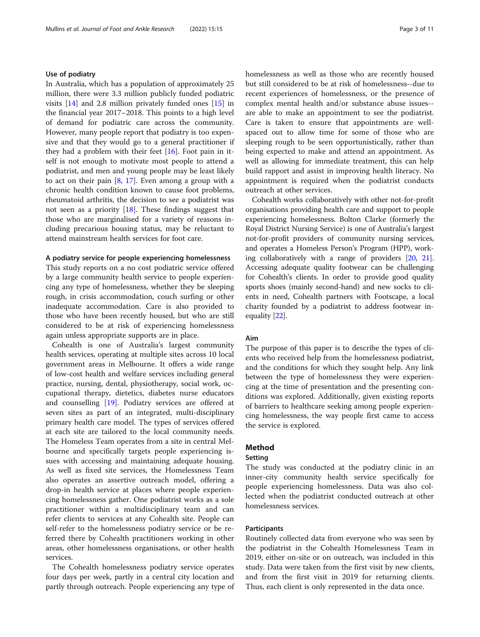#### Use of podiatry

In Australia, which has a population of approximately 25 million, there were 3.3 million publicly funded podiatric visits [\[14\]](#page-9-0) and 2.8 million privately funded ones [[15](#page-9-0)] in the financial year 2017–2018. This points to a high level of demand for podiatric care across the community. However, many people report that podiatry is too expensive and that they would go to a general practitioner if they had a problem with their feet [[16](#page-9-0)]. Foot pain in itself is not enough to motivate most people to attend a podiatrist, and men and young people may be least likely to act on their pain  $[8, 17]$  $[8, 17]$  $[8, 17]$ . Even among a group with a chronic health condition known to cause foot problems, rheumatoid arthritis, the decision to see a podiatrist was not seen as a priority [[18](#page-10-0)]. These findings suggest that those who are marginalised for a variety of reasons including precarious housing status, may be reluctant to attend mainstream health services for foot care.

#### A podiatry service for people experiencing homelessness

This study reports on a no cost podiatric service offered by a large community health service to people experiencing any type of homelessness, whether they be sleeping rough, in crisis accommodation, couch surfing or other inadequate accommodation. Care is also provided to those who have been recently housed, but who are still considered to be at risk of experiencing homelessness again unless appropriate supports are in place.

Cohealth is one of Australia's largest community health services, operating at multiple sites across 10 local government areas in Melbourne. It offers a wide range of low-cost health and welfare services including general practice, nursing, dental, physiotherapy, social work, occupational therapy, dietetics, diabetes nurse educators and counselling [[19](#page-10-0)]. Podiatry services are offered at seven sites as part of an integrated, multi-disciplinary primary health care model. The types of services offered at each site are tailored to the local community needs. The Homeless Team operates from a site in central Melbourne and specifically targets people experiencing issues with accessing and maintaining adequate housing. As well as fixed site services, the Homelessness Team also operates an assertive outreach model, offering a drop-in health service at places where people experiencing homelessness gather. One podiatrist works as a sole practitioner within a multidisciplinary team and can refer clients to services at any Cohealth site. People can self-refer to the homelessness podiatry service or be referred there by Cohealth practitioners working in other areas, other homelessness organisations, or other health services.

The Cohealth homelessness podiatry service operates four days per week, partly in a central city location and partly through outreach. People experiencing any type of homelessness as well as those who are recently housed but still considered to be at risk of homelessness--due to recent experiences of homelessness, or the presence of complex mental health and/or substance abuse issues- are able to make an appointment to see the podiatrist. Care is taken to ensure that appointments are wellspaced out to allow time for some of those who are sleeping rough to be seen opportunistically, rather than being expected to make and attend an appointment. As well as allowing for immediate treatment, this can help build rapport and assist in improving health literacy. No appointment is required when the podiatrist conducts outreach at other services.

Cohealth works collaboratively with other not-for-profit organisations providing health care and support to people experiencing homelessness. Bolton Clarke (formerly the Royal District Nursing Service) is one of Australia's largest not-for-profit providers of community nursing services, and operates a Homeless Person's Program (HPP), working collaboratively with a range of providers [\[20](#page-10-0), [21](#page-10-0)]. Accessing adequate quality footwear can be challenging for Cohealth's clients. In order to provide good quality sports shoes (mainly second-hand) and new socks to clients in need, Cohealth partners with Footscape, a local charity founded by a podiatrist to address footwear inequality [[22](#page-10-0)].

#### Aim

The purpose of this paper is to describe the types of clients who received help from the homelessness podiatrist, and the conditions for which they sought help. Any link between the type of homelessness they were experiencing at the time of presentation and the presenting conditions was explored. Additionally, given existing reports of barriers to healthcare seeking among people experiencing homelessness, the way people first came to access the service is explored.

# Method

#### Setting

The study was conducted at the podiatry clinic in an inner-city community health service specifically for people experiencing homelessness. Data was also collected when the podiatrist conducted outreach at other homelessness services.

# Participants

Routinely collected data from everyone who was seen by the podiatrist in the Cohealth Homelessness Team in 2019, either on-site or on outreach, was included in this study. Data were taken from the first visit by new clients, and from the first visit in 2019 for returning clients. Thus, each client is only represented in the data once.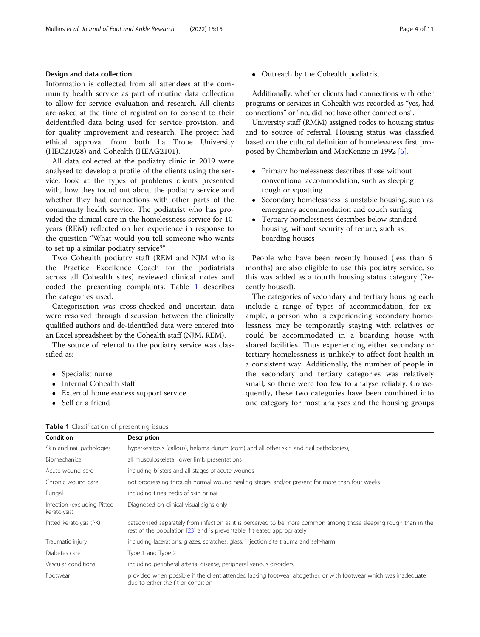# Design and data collection

Information is collected from all attendees at the community health service as part of routine data collection to allow for service evaluation and research. All clients are asked at the time of registration to consent to their deidentified data being used for service provision, and for quality improvement and research. The project had ethical approval from both La Trobe University (HEC21028) and Cohealth (HEAG2101).

All data collected at the podiatry clinic in 2019 were analysed to develop a profile of the clients using the service, look at the types of problems clients presented with, how they found out about the podiatry service and whether they had connections with other parts of the community health service. The podiatrist who has provided the clinical care in the homelessness service for 10 years (REM) reflected on her experience in response to the question "What would you tell someone who wants to set up a similar podiatry service?"

Two Cohealth podiatry staff (REM and NJM who is the Practice Excellence Coach for the podiatrists across all Cohealth sites) reviewed clinical notes and coded the presenting complaints. Table 1 describes the categories used.

Categorisation was cross-checked and uncertain data were resolved through discussion between the clinically qualified authors and de-identified data were entered into an Excel spreadsheet by the Cohealth staff (NJM, REM).

The source of referral to the podiatry service was classified as:

- Specialist nurse
- Internal Cohealth staff
- External homelessness support service
- Self or a friend

• Outreach by the Cohealth podiatrist

Additionally, whether clients had connections with other programs or services in Cohealth was recorded as "yes, had connections" or "no, did not have other connections".

University staff (RMM) assigned codes to housing status and to source of referral. Housing status was classified based on the cultural definition of homelessness first proposed by Chamberlain and MacKenzie in 1992 [\[5\]](#page-9-0).

- Primary homelessness describes those without conventional accommodation, such as sleeping rough or squatting
- Secondary homelessness is unstable housing, such as emergency accommodation and couch surfing
- Tertiary homelessness describes below standard housing, without security of tenure, such as boarding houses

People who have been recently housed (less than 6 months) are also eligible to use this podiatry service, so this was added as a fourth housing status category (Recently housed).

The categories of secondary and tertiary housing each include a range of types of accommodation; for example, a person who is experiencing secondary homelessness may be temporarily staying with relatives or could be accommodated in a boarding house with shared facilities. Thus experiencing either secondary or tertiary homelessness is unlikely to affect foot health in a consistent way. Additionally, the number of people in the secondary and tertiary categories was relatively small, so there were too few to analyse reliably. Consequently, these two categories have been combined into one category for most analyses and the housing groups

| <b>Condition</b>                            | <b>Description</b>                                                                                                                                                                           |
|---------------------------------------------|----------------------------------------------------------------------------------------------------------------------------------------------------------------------------------------------|
| Skin and nail pathologies                   | hyperkeratosis (callous), heloma durum (corn) and all other skin and nail pathologies),                                                                                                      |
| Biomechanical                               | all musculoskeletal lower limb presentations                                                                                                                                                 |
| Acute wound care                            | including blisters and all stages of acute wounds                                                                                                                                            |
| Chronic wound care                          | not progressing through normal wound healing stages, and/or present for more than four weeks                                                                                                 |
| Fungal                                      | including tinea pedis of skin or nail                                                                                                                                                        |
| Infection (excluding Pitted<br>keratolysis) | Diagnosed on clinical visual signs only                                                                                                                                                      |
| Pitted keratolysis (PK)                     | categorised separately from infection as it is perceived to be more common among those sleeping rough than in the<br>rest of the population [23] and is preventable if treated appropriately |
| Traumatic injury                            | including lacerations, grazes, scratches, glass, injection site trauma and self-harm                                                                                                         |
| Diabetes care                               | Type 1 and Type 2                                                                                                                                                                            |
| Vascular conditions                         | including peripheral arterial disease, peripheral venous disorders                                                                                                                           |
| Footwear                                    | provided when possible if the client attended lacking footwear altogether, or with footwear which was inadequate<br>due to either the fit or condition                                       |

#### Table 1 Classification of presenting issues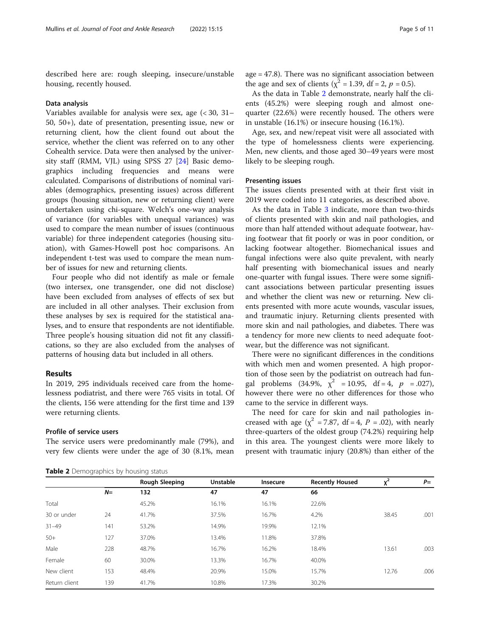described here are: rough sleeping, insecure/unstable housing, recently housed.

#### Data analysis

Variables available for analysis were sex, age (< 30, 31– 50, 50+), date of presentation, presenting issue, new or returning client, how the client found out about the service, whether the client was referred on to any other Cohealth service. Data were then analysed by the university staff (RMM, VJL) using SPSS 27 [\[24](#page-10-0)] Basic demographics including frequencies and means were calculated. Comparisons of distributions of nominal variables (demographics, presenting issues) across different groups (housing situation, new or returning client) were undertaken using chi-square. Welch's one-way analysis of variance (for variables with unequal variances) was used to compare the mean number of issues (continuous variable) for three independent categories (housing situation), with Games-Howell post hoc comparisons. An independent t-test was used to compare the mean number of issues for new and returning clients.

Four people who did not identify as male or female (two intersex, one transgender, one did not disclose) have been excluded from analyses of effects of sex but are included in all other analyses. Their exclusion from these analyses by sex is required for the statistical analyses, and to ensure that respondents are not identifiable. Three people's housing situation did not fit any classifications, so they are also excluded from the analyses of patterns of housing data but included in all others.

#### Results

In 2019, 295 individuals received care from the homelessness podiatrist, and there were 765 visits in total. Of the clients, 156 were attending for the first time and 139 were returning clients.

### Profile of service users

The service users were predominantly male (79%), and very few clients were under the age of 30 (8.1%, mean

Table 2 Demographics by housing status

age = 47.8). There was no significant association between the age and sex of clients ( $\chi^2$  = 1.39, df = 2, p = 0.5).

As the data in Table 2 demonstrate, nearly half the clients (45.2%) were sleeping rough and almost onequarter (22.6%) were recently housed. The others were in unstable (16.1%) or insecure housing (16.1%).

Age, sex, and new/repeat visit were all associated with the type of homelessness clients were experiencing. Men, new clients, and those aged 30–49 years were most likely to be sleeping rough.

#### Presenting issues

The issues clients presented with at their first visit in 2019 were coded into 11 categories, as described above.

As the data in Table [3](#page-5-0) indicate, more than two-thirds of clients presented with skin and nail pathologies, and more than half attended without adequate footwear, having footwear that fit poorly or was in poor condition, or lacking footwear altogether. Biomechanical issues and fungal infections were also quite prevalent, with nearly half presenting with biomechanical issues and nearly one-quarter with fungal issues. There were some significant associations between particular presenting issues and whether the client was new or returning. New clients presented with more acute wounds, vascular issues, and traumatic injury. Returning clients presented with more skin and nail pathologies, and diabetes. There was a tendency for more new clients to need adequate footwear, but the difference was not significant.

There were no significant differences in the conditions with which men and women presented. A high proportion of those seen by the podiatrist on outreach had fungal problems  $(34.9\%, \chi^2 = 10.95, df = 4, p = .027)$ , however there were no other differences for those who came to the service in different ways.

The need for care for skin and nail pathologies increased with age ( $\chi^2$  = 7.87, df = 4, P = .02), with nearly three-quarters of the oldest group (74.2%) requiring help in this area. The youngest clients were more likely to present with traumatic injury (20.8%) than either of the

| Unstable<br>Rough Sleeping<br>47 | Insecure | <b>Recently Housed</b> | $\mathbf{v}^2$ | $P=$ |
|----------------------------------|----------|------------------------|----------------|------|
|                                  |          |                        |                |      |
|                                  |          | 66                     |                |      |
| 16.1%                            | 16.1%    | 22.6%                  |                |      |
| 37.5%                            | 16.7%    | 4.2%                   | 38.45          | .001 |
| 14.9%                            | 19.9%    | 12.1%                  |                |      |
| 13.4%                            | 11.8%    | 37.8%                  |                |      |
| 16.7%                            | 16.2%    | 18.4%                  | 13.61          | .003 |
| 13.3%                            | 16.7%    | 40.0%                  |                |      |
| 20.9%                            | 15.0%    | 15.7%                  | 12.76          | .006 |
| 10.8%                            | 17.3%    | 30.2%                  |                |      |
|                                  |          | 47                     |                |      |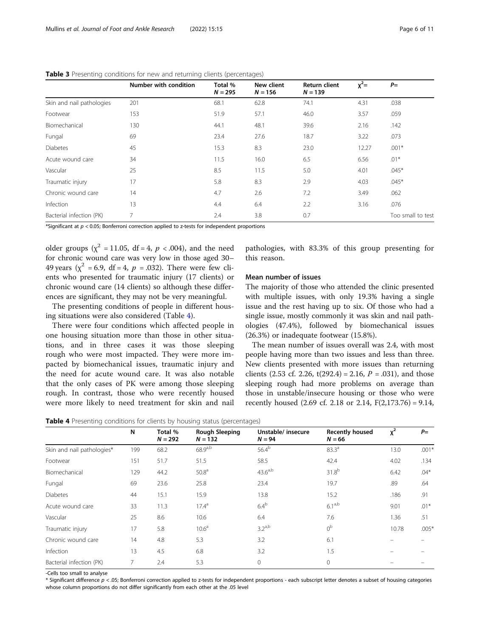|                           | Number with condition | Total %<br>$N = 295$ | New client<br>$N = 156$ | <b>Return client</b><br>$N = 139$ | $x^2=$ | $P=$              |
|---------------------------|-----------------------|----------------------|-------------------------|-----------------------------------|--------|-------------------|
| Skin and nail pathologies | 201                   | 68.1                 | 62.8                    | 74.1                              | 4.31   | .038              |
| Footwear                  | 153                   | 51.9                 | 57.1                    | 46.0                              | 3.57   | .059              |
| Biomechanical             | 130                   | 44.1                 | 48.1                    | 39.6                              | 2.16   | .142              |
| Fungal                    | 69                    | 23.4                 | 27.6                    | 18.7                              | 3.22   | .073              |
| <b>Diabetes</b>           | 45                    | 15.3                 | 8.3                     | 23.0                              | 12.27  | $.001*$           |
| Acute wound care          | 34                    | 11.5                 | 16.0                    | 6.5                               | 6.56   | $.01*$            |
| Vascular                  | 25                    | 8.5                  | 11.5                    | 5.0                               | 4.01   | $.045*$           |
| Traumatic injury          | 17                    | 5.8                  | 8.3                     | 2.9                               | 4.03   | $.045*$           |
| Chronic wound care        | 14                    | 4.7                  | 2.6                     | 7.2                               | 3.49   | .062              |
| Infection                 | 13                    | 4.4                  | 6.4                     | 2.2                               | 3.16   | .076              |
| Bacterial infection (PK)  |                       | 2.4                  | 3.8                     | 0.7                               |        | Too small to test |

<span id="page-5-0"></span>Table 3 Presenting conditions for new and returning clients (percentages)

\*Significant at  $p < 0.05$ ; Bonferroni correction applied to z-tests for independent proportions

older groups ( $\chi^2$  = 11.05, df = 4, p < .004), and the need for chronic wound care was very low in those aged 30– 49 years ( $\chi^2$  = 6.9, df = 4, p = .032). There were few clients who presented for traumatic injury (17 clients) or chronic wound care (14 clients) so although these differences are significant, they may not be very meaningful.

The presenting conditions of people in different housing situations were also considered (Table 4).

There were four conditions which affected people in one housing situation more than those in other situations, and in three cases it was those sleeping rough who were most impacted. They were more impacted by biomechanical issues, traumatic injury and the need for acute wound care. It was also notable that the only cases of PK were among those sleeping rough. In contrast, those who were recently housed were more likely to need treatment for skin and nail

pathologies, with 83.3% of this group presenting for this reason.

# Mean number of issues

The majority of those who attended the clinic presented with multiple issues, with only 19.3% having a single issue and the rest having up to six. Of those who had a single issue, mostly commonly it was skin and nail pathologies (47.4%), followed by biomechanical issues (26.3%) or inadequate footwear (15.8%).

The mean number of issues overall was 2.4, with most people having more than two issues and less than three. New clients presented with more issues than returning clients (2.53 cf. 2.26,  $t(292.4) = 2.16$ ,  $P = .031$ ), and those sleeping rough had more problems on average than those in unstable/insecure housing or those who were recently housed (2.69 cf. 2.18 or 2.14, F(2,173.76) = 9.14,

Table 4 Presenting conditions for clients by housing status (percentages)

|                            | N   | Total %<br>$N = 292$ | <b>Rough Sleeping</b><br>$N = 132$ | Unstable/insecure<br>$N = 94$ | <b>Recently housed</b><br>$N = 66$ | $x^2$ | $P=$    |
|----------------------------|-----|----------------------|------------------------------------|-------------------------------|------------------------------------|-------|---------|
| Skin and nail pathologies* | 199 | 68.2                 | $68.9^{a,b}$                       | $56.4^{b}$                    | $83.3^{a}$                         | 13.0  | $.001*$ |
| Footwear                   | 151 | 51.7                 | 51.5                               | 58.5                          | 42.4                               | 4.02  | .134    |
| Biomechanical              | 129 | 44.2                 | 50.8 <sup>a</sup>                  | $43.6^{a,b}$                  | $31.8^{b}$                         | 6.42  | $.04*$  |
| Fungal                     | 69  | 23.6                 | 25.8                               | 23.4                          | 19.7                               | .89   | .64     |
| <b>Diabetes</b>            | 44  | 15.1                 | 15.9                               | 13.8                          | 15.2                               | .186  | .91     |
| Acute wound care           | 33  | 11.3                 | $17.4^{\circ}$                     | 6.4 <sup>b</sup>              | $6.1^{a,b}$                        | 9.01  | $.01*$  |
| Vascular                   | 25  | 8.6                  | 10.6                               | 6.4                           | 7.6                                | 1.36  | .51     |
| Traumatic injury           | 17  | 5.8                  | 10.6 <sup>a</sup>                  | $3.2^{a,b}$                   | 0 <sup>b</sup>                     | 10.78 | $.005*$ |
| Chronic wound care         | 14  | 4.8                  | 5.3                                | 3.2                           | 6.1                                |       |         |
| Infection                  | 13  | 4.5                  | 6.8                                | 3.2                           | 1.5                                |       |         |
| Bacterial infection (PK)   | 7   | 2.4                  | 5.3                                | 0                             | $\mathbf{0}$                       |       |         |

-Cells too small to analyse

\* Significant difference p < .05; Bonferroni correction applied to z-tests for independent proportions - each subscript letter denotes a subset of housing categories whose column proportions do not differ significantly from each other at the .05 level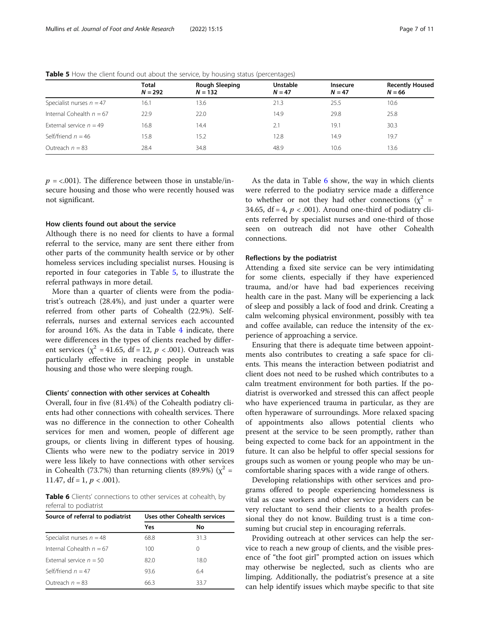|                            | Total<br>$N = 292$ | Rough Sleeping<br>$N = 132$ | <b>Unstable</b><br>$N = 47$ | <b>Insecure</b><br>$N = 47$ | <b>Recently Housed</b><br>$N = 66$ |
|----------------------------|--------------------|-----------------------------|-----------------------------|-----------------------------|------------------------------------|
| Specialist nurses $n = 47$ | 16.1               | 13.6                        | 21.3                        | 25.5                        | 10.6                               |
| Internal Cohealth $n = 67$ | 22.9               | 22.0                        | 14.9                        | 29.8                        | 25.8                               |
| External service $n = 49$  | 16.8               | 14.4                        | 2.1                         | 19.1                        | 30.3                               |
| Self/friend $n = 46$       | 15.8               | 15.2                        | 12.8                        | 14.9                        | 19.7                               |
| Outreach $n = 83$          | 28.4               | 34.8                        | 48.9                        | 10.6                        | 13.6                               |

Table 5 How the client found out about the service, by housing status (percentages)

 $p = 0.001$ . The difference between those in unstable/insecure housing and those who were recently housed was not significant.

# How clients found out about the service

Although there is no need for clients to have a formal referral to the service, many are sent there either from other parts of the community health service or by other homeless services including specialist nurses. Housing is reported in four categories in Table 5, to illustrate the referral pathways in more detail.

More than a quarter of clients were from the podiatrist's outreach (28.4%), and just under a quarter were referred from other parts of Cohealth (22.9%). Selfreferrals, nurses and external services each accounted for around 16%. As the data in Table [4](#page-5-0) indicate, there were differences in the types of clients reached by different services ( $\chi^2$  = 41.65, df = 12, p < .001). Outreach was particularly effective in reaching people in unstable housing and those who were sleeping rough.

#### Clients' connection with other services at Cohealth

Overall, four in five (81.4%) of the Cohealth podiatry clients had other connections with cohealth services. There was no difference in the connection to other Cohealth services for men and women, people of different age groups, or clients living in different types of housing. Clients who were new to the podiatry service in 2019 were less likely to have connections with other services in Cohealth (73.7%) than returning clients (89.9%) ( $\chi^2$  = 11.47, df = 1,  $p < .001$ ).

Table 6 Clients' connections to other services at cohealth, by referral to podiatrist

| Source of referral to podiatrist | Uses other Cohealth services |      |  |  |
|----------------------------------|------------------------------|------|--|--|
|                                  | Yes                          | No.  |  |  |
| Specialist nurses $n = 48$       | 68.8                         | 31.3 |  |  |
| Internal Cohealth $n = 67$       | 100                          | 0    |  |  |
| External service $n = 50$        | 82.0                         | 18.0 |  |  |
| Self/friend $n = 47$             | 93.6                         | 6.4  |  |  |
| Outreach $n = 83$                | 66.3                         | 33.7 |  |  |

As the data in Table 6 show, the way in which clients were referred to the podiatry service made a difference to whether or not they had other connections ( $\chi^2$  = 34.65, df = 4,  $p < .001$ ). Around one-third of podiatry clients referred by specialist nurses and one-third of those seen on outreach did not have other Cohealth connections.

#### Reflections by the podiatrist

Attending a fixed site service can be very intimidating for some clients, especially if they have experienced trauma, and/or have had bad experiences receiving health care in the past. Many will be experiencing a lack of sleep and possibly a lack of food and drink. Creating a calm welcoming physical environment, possibly with tea and coffee available, can reduce the intensity of the experience of approaching a service.

Ensuring that there is adequate time between appointments also contributes to creating a safe space for clients. This means the interaction between podiatrist and client does not need to be rushed which contributes to a calm treatment environment for both parties. If the podiatrist is overworked and stressed this can affect people who have experienced trauma in particular, as they are often hyperaware of surroundings. More relaxed spacing of appointments also allows potential clients who present at the service to be seen promptly, rather than being expected to come back for an appointment in the future. It can also be helpful to offer special sessions for groups such as women or young people who may be uncomfortable sharing spaces with a wide range of others.

Developing relationships with other services and programs offered to people experiencing homelessness is vital as case workers and other service providers can be very reluctant to send their clients to a health professional they do not know. Building trust is a time consuming but crucial step in encouraging referrals.

Providing outreach at other services can help the service to reach a new group of clients, and the visible presence of "the foot girl" prompted action on issues which may otherwise be neglected, such as clients who are limping. Additionally, the podiatrist's presence at a site can help identify issues which maybe specific to that site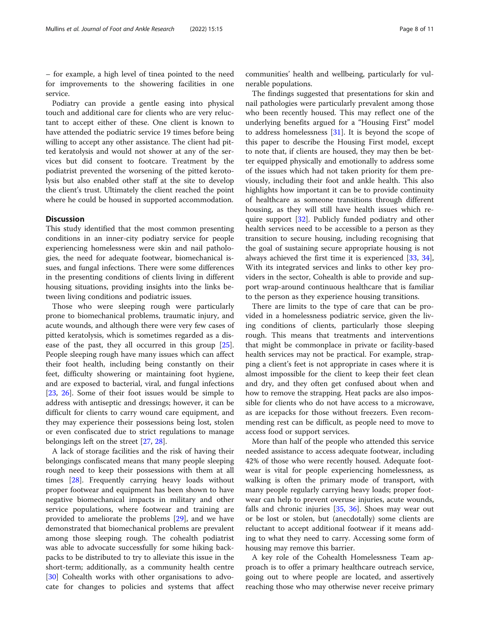– for example, a high level of tinea pointed to the need for improvements to the showering facilities in one service.

Podiatry can provide a gentle easing into physical touch and additional care for clients who are very reluctant to accept either of these. One client is known to have attended the podiatric service 19 times before being willing to accept any other assistance. The client had pitted keratolysis and would not shower at any of the services but did consent to footcare. Treatment by the podiatrist prevented the worsening of the pitted kerotolysis but also enabled other staff at the site to develop the client's trust. Ultimately the client reached the point where he could be housed in supported accommodation.

#### **Discussion**

This study identified that the most common presenting conditions in an inner-city podiatry service for people experiencing homelessness were skin and nail pathologies, the need for adequate footwear, biomechanical issues, and fungal infections. There were some differences in the presenting conditions of clients living in different housing situations, providing insights into the links between living conditions and podiatric issues.

Those who were sleeping rough were particularly prone to biomechanical problems, traumatic injury, and acute wounds, and although there were very few cases of pitted keratolysis, which is sometimes regarded as a dis-ease of the past, they all occurred in this group [\[25](#page-10-0)]. People sleeping rough have many issues which can affect their foot health, including being constantly on their feet, difficulty showering or maintaining foot hygiene, and are exposed to bacterial, viral, and fungal infections [[23,](#page-10-0) [26](#page-10-0)]. Some of their foot issues would be simple to address with antiseptic and dressings; however, it can be difficult for clients to carry wound care equipment, and they may experience their possessions being lost, stolen or even confiscated due to strict regulations to manage belongings left on the street [\[27](#page-10-0), [28](#page-10-0)].

A lack of storage facilities and the risk of having their belongings confiscated means that many people sleeping rough need to keep their possessions with them at all times [[28\]](#page-10-0). Frequently carrying heavy loads without proper footwear and equipment has been shown to have negative biomechanical impacts in military and other service populations, where footwear and training are provided to ameliorate the problems [\[29](#page-10-0)], and we have demonstrated that biomechanical problems are prevalent among those sleeping rough. The cohealth podiatrist was able to advocate successfully for some hiking backpacks to be distributed to try to alleviate this issue in the short-term; additionally, as a community health centre [[30\]](#page-10-0) Cohealth works with other organisations to advocate for changes to policies and systems that affect

communities' health and wellbeing, particularly for vulnerable populations.

The findings suggested that presentations for skin and nail pathologies were particularly prevalent among those who been recently housed. This may reflect one of the underlying benefits argued for a "Housing First" model to address homelessness [\[31](#page-10-0)]. It is beyond the scope of this paper to describe the Housing First model, except to note that, if clients are housed, they may then be better equipped physically and emotionally to address some of the issues which had not taken priority for them previously, including their foot and ankle health. This also highlights how important it can be to provide continuity of healthcare as someone transitions through different housing, as they will still have health issues which require support [[32](#page-10-0)]. Publicly funded podiatry and other health services need to be accessible to a person as they transition to secure housing, including recognising that the goal of sustaining secure appropriate housing is not always achieved the first time it is experienced [[33,](#page-10-0) [34](#page-10-0)], With its integrated services and links to other key providers in the sector, Cohealth is able to provide and support wrap-around continuous healthcare that is familiar to the person as they experience housing transitions.

There are limits to the type of care that can be provided in a homelessness podiatric service, given the living conditions of clients, particularly those sleeping rough. This means that treatments and interventions that might be commonplace in private or facility-based health services may not be practical. For example, strapping a client's feet is not appropriate in cases where it is almost impossible for the client to keep their feet clean and dry, and they often get confused about when and how to remove the strapping. Heat packs are also impossible for clients who do not have access to a microwave, as are icepacks for those without freezers. Even recommending rest can be difficult, as people need to move to access food or support services.

More than half of the people who attended this service needed assistance to access adequate footwear, including 42% of those who were recently housed. Adequate footwear is vital for people experiencing homelessness, as walking is often the primary mode of transport, with many people regularly carrying heavy loads; proper footwear can help to prevent overuse injuries, acute wounds, falls and chronic injuries [[35,](#page-10-0) [36\]](#page-10-0). Shoes may wear out or be lost or stolen, but (anecdotally) some clients are reluctant to accept additional footwear if it means adding to what they need to carry. Accessing some form of housing may remove this barrier.

A key role of the Cohealth Homelessness Team approach is to offer a primary healthcare outreach service, going out to where people are located, and assertively reaching those who may otherwise never receive primary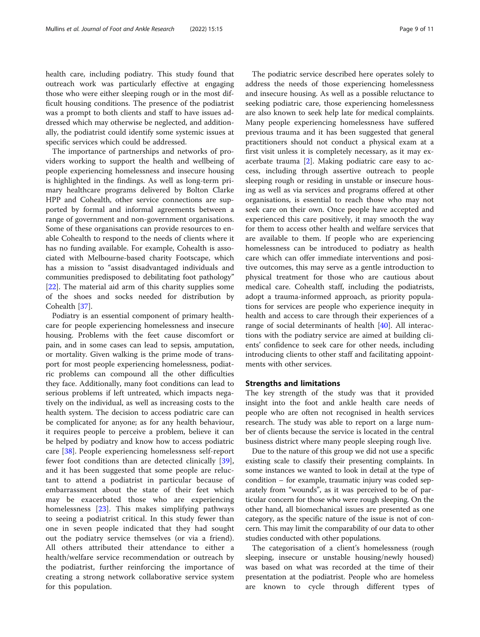health care, including podiatry. This study found that outreach work was particularly effective at engaging those who were either sleeping rough or in the most difficult housing conditions. The presence of the podiatrist was a prompt to both clients and staff to have issues addressed which may otherwise be neglected, and additionally, the podiatrist could identify some systemic issues at specific services which could be addressed.

The importance of partnerships and networks of providers working to support the health and wellbeing of people experiencing homelessness and insecure housing is highlighted in the findings. As well as long-term primary healthcare programs delivered by Bolton Clarke HPP and Cohealth, other service connections are supported by formal and informal agreements between a range of government and non-government organisations. Some of these organisations can provide resources to enable Cohealth to respond to the needs of clients where it has no funding available. For example, Cohealth is associated with Melbourne-based charity Footscape, which has a mission to "assist disadvantaged individuals and communities predisposed to debilitating foot pathology" [[22\]](#page-10-0). The material aid arm of this charity supplies some of the shoes and socks needed for distribution by Cohealth [[37\]](#page-10-0).

Podiatry is an essential component of primary healthcare for people experiencing homelessness and insecure housing. Problems with the feet cause discomfort or pain, and in some cases can lead to sepsis, amputation, or mortality. Given walking is the prime mode of transport for most people experiencing homelessness, podiatric problems can compound all the other difficulties they face. Additionally, many foot conditions can lead to serious problems if left untreated, which impacts negatively on the individual, as well as increasing costs to the health system. The decision to access podiatric care can be complicated for anyone; as for any health behaviour, it requires people to perceive a problem, believe it can be helped by podiatry and know how to access podiatric care [[38\]](#page-10-0). People experiencing homelessness self-report fewer foot conditions than are detected clinically [\[39](#page-10-0)], and it has been suggested that some people are reluctant to attend a podiatrist in particular because of embarrassment about the state of their feet which may be exacerbated those who are experiencing homelessness [[23](#page-10-0)]. This makes simplifying pathways to seeing a podiatrist critical. In this study fewer than one in seven people indicated that they had sought out the podiatry service themselves (or via a friend). All others attributed their attendance to either a health/welfare service recommendation or outreach by the podiatrist, further reinforcing the importance of creating a strong network collaborative service system for this population.

The podiatric service described here operates solely to address the needs of those experiencing homelessness and insecure housing. As well as a possible reluctance to seeking podiatric care, those experiencing homelessness are also known to seek help late for medical complaints. Many people experiencing homelessness have suffered previous trauma and it has been suggested that general practitioners should not conduct a physical exam at a first visit unless it is completely necessary, as it may exacerbate trauma [[2\]](#page-9-0). Making podiatric care easy to access, including through assertive outreach to people sleeping rough or residing in unstable or insecure housing as well as via services and programs offered at other organisations, is essential to reach those who may not seek care on their own. Once people have accepted and experienced this care positively, it may smooth the way for them to access other health and welfare services that are available to them. If people who are experiencing homelessness can be introduced to podiatry as health care which can offer immediate interventions and positive outcomes, this may serve as a gentle introduction to physical treatment for those who are cautious about medical care. Cohealth staff, including the podiatrists, adopt a trauma-informed approach, as priority populations for services are people who experience inequity in health and access to care through their experiences of a range of social determinants of health [[40\]](#page-10-0). All interactions with the podiatry service are aimed at building clients' confidence to seek care for other needs, including introducing clients to other staff and facilitating appointments with other services.

#### Strengths and limitations

The key strength of the study was that it provided insight into the foot and ankle health care needs of people who are often not recognised in health services research. The study was able to report on a large number of clients because the service is located in the central business district where many people sleeping rough live.

Due to the nature of this group we did not use a specific existing scale to classify their presenting complaints. In some instances we wanted to look in detail at the type of condition – for example, traumatic injury was coded separately from "wounds", as it was perceived to be of particular concern for those who were rough sleeping. On the other hand, all biomechanical issues are presented as one category, as the specific nature of the issue is not of concern. This may limit the comparability of our data to other studies conducted with other populations.

The categorisation of a client's homelessness (rough sleeping, insecure or unstable housing/newly housed) was based on what was recorded at the time of their presentation at the podiatrist. People who are homeless are known to cycle through different types of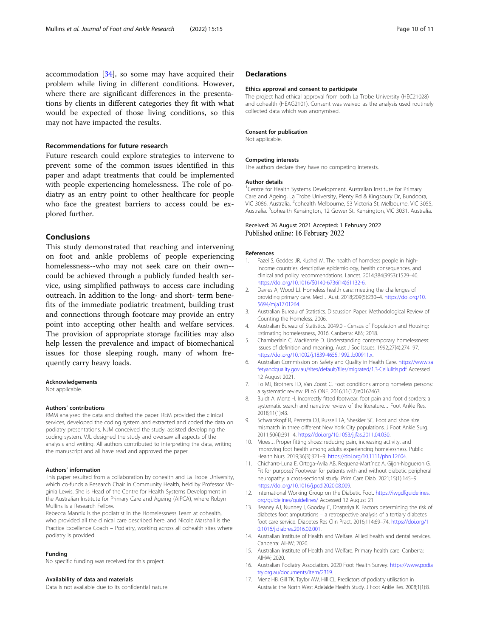<span id="page-9-0"></span>accommodation [[34\]](#page-10-0), so some may have acquired their problem while living in different conditions. However, where there are significant differences in the presentations by clients in different categories they fit with what would be expected of those living conditions, so this may not have impacted the results.

#### Recommendations for future research

Future research could explore strategies to intervene to prevent some of the common issues identified in this paper and adapt treatments that could be implemented with people experiencing homelessness. The role of podiatry as an entry point to other healthcare for people who face the greatest barriers to access could be explored further.

### Conclusions

This study demonstrated that reaching and intervening on foot and ankle problems of people experiencing homelessness--who may not seek care on their own- could be achieved through a publicly funded health service, using simplified pathways to access care including outreach. In addition to the long- and short- term benefits of the immediate podiatric treatment, building trust and connections through footcare may provide an entry point into accepting other health and welfare services. The provision of appropriate storage facilities may also help lessen the prevalence and impact of biomechanical issues for those sleeping rough, many of whom frequently carry heavy loads.

#### Acknowledgements

Not applicable.

#### Authors' contributions

RMM analysed the data and drafted the paper. REM provided the clinical services, developed the coding system and extracted and coded the data on podiatry presentations. NJM conceived the study, assisted developing the coding system. VJL designed the study and oversaw all aspects of the analysis and writing. All authors contributed to interpreting the data, writing the manuscript and all have read and approved the paper.

#### Authors' information

This paper resulted from a collaboration by cohealth and La Trobe University, which co-funds a Research Chair in Community Health, held by Professor Virginia Lewis. She is Head of the Centre for Health Systems Development in the Australian Institute for Primary Care and Ageing (AIPCA), where Robyn Mullins is a Research Fellow.

Rebecca Mannix is the podiatrist in the Homelessness Team at cohealth, who provided all the clinical care described here, and Nicole Marshall is the Practice Excellence Coach – Podiatry, working across all cohealth sites where podiatry is provided.

#### Funding

No specific funding was received for this project.

#### Availability of data and materials

Data is not available due to its confidential nature.

#### **Declarations**

#### Ethics approval and consent to participate

The project had ethical approval from both La Trobe University (HEC21028) and cohealth (HEAG2101). Consent was waived as the analysis used routinely collected data which was anonymised.

#### Consent for publication

Not applicable.

#### Competing interests

The authors declare they have no competing interests.

#### Author details

<sup>1</sup> Centre for Health Systems Development, Australian Institute for Primary Care and Ageing, La Trobe University, Plenty Rd & Kingsbury Dr, Bundoora, VIC 3086, Australia. <sup>2</sup>cohealth Melbourne, 53 Victoria St, Melbourne, VIC 3055 Australia. <sup>3</sup>cohealth Kensington, 12 Gower St, Kensington, VIC 3031, Australia.

#### Received: 26 August 2021 Accepted: 1 February 2022 Published online: 16 February 2022

#### References

- 1. Fazel S, Geddes JR, Kushel M. The health of homeless people in highincome countries: descriptive epidemiology, health consequences, and clinical and policy recommendations. Lancet. 2014;384(9953):1529–40. [https://doi.org/10.1016/S0140-6736\(14\)61132-6.](https://doi.org/10.1016/S0140-6736(14)61132-6)
- 2. Davies A, Wood LJ. Homeless health care: meeting the challenges of providing primary care. Med J Aust. 2018;209(5):230–4. [https://doi.org/10.](https://doi.org/10.5694/mja17.01264) [5694/mja17.01264](https://doi.org/10.5694/mja17.01264).
- 3. Australian Bureau of Statistics. Discussion Paper: Methodological Review of Counting the Homeless. 2006.
- 4. Australian Bureau of Statistics. 2049.0 Census of Population and Housing: Estimating homelessness, 2016. Canberra: ABS; 2018.
- 5. Chamberlain C, MacKenzie D. Understanding contemporary homelessness: issues of definition and meaning. Aust J Soc Issues. 1992;27(4):274–97. <https://doi.org/10.1002/j.1839-4655.1992.tb00911.x>.
- 6. Australian Commission on Safety and Quality in Health Care. [https://www.sa](https://www.safetyandquality.gov.au/sites/default/files/migrated/1.3-Cellulitis.pdf) [fetyandquality.gov.au/sites/default/files/migrated/1.3-Cellulitis.pdf](https://www.safetyandquality.gov.au/sites/default/files/migrated/1.3-Cellulitis.pdf) Accessed 12 August 2021.
- 7. To MJ, Brothers TD, Van Zoost C. Foot conditions among homeless persons: a systematic review. PLoS ONE. 2016;11(12):e0167463.
- 8. Buldt A, Menz H. Incorrectly fitted footwear, foot pain and foot disorders: a systematic search and narrative review of the literature. J Foot Ankle Res. 2018;11(1):43.
- 9. Schwarzkopf R, Perretta DJ, Russell TA, Sheskier SC. Foot and shoe size mismatch in three different New York City populations. J Foot Ankle Surg. 2011;50(4):391–4. [https://doi.org/10.1053/j.jfas.2011.04.030.](https://doi.org/10.1053/j.jfas.2011.04.030)
- 10. Moes J. Proper fitting shoes: reducing pain, increasing activity, and improving foot health among adults experiencing homelessness. Public Health Nurs. 2019;36(3):321–9. [https://doi.org/10.1111/phn.12604.](https://doi.org/10.1111/phn.12604)
- 11. Chicharro-Luna E, Ortega-Avila AB, Requena-Martínez A, Gijon-Nogueron G. Fit for purpose? Footwear for patients with and without diabetic peripheral neuropathy: a cross-sectional study. Prim Care Diab. 2021;15(1):145–9. [https://doi.org/10.1016/j.pcd.2020.08.009.](https://doi.org/10.1016/j.pcd.2020.08.009)
- 12. International Working Group on the Diabetic Foot. [https://iwgdfguidelines.](https://iwgdfguidelines.org/guidelines/guidelines/) [org/guidelines/guidelines/](https://iwgdfguidelines.org/guidelines/guidelines/) Accessed 12 August 21.
- 13. Beaney AJ, Nunney I, Gooday C, Dhatariya K. Factors determining the risk of diabetes foot amputations – a retrospective analysis of a tertiary diabetes foot care service. Diabetes Res Clin Pract. 2016;114:69–74. [https://doi.org/1](https://doi.org/10.1016/j.diabres.2016.02.001) [0.1016/j.diabres.2016.02.001.](https://doi.org/10.1016/j.diabres.2016.02.001)
- 14. Australian Institute of Health and Welfare. Allied health and dental services. Canberra: AIHW; 2020.
- 15. Australian Institute of Health and Welfare. Primary health care. Canberra: AIHW; 2020.
- 16. Australian Podiatry Association. 2020 Foot Health Survey. [https://www.podia](https://www.podiatry.org.au/documents/item/2319) [try.org.au/documents/item/2319](https://www.podiatry.org.au/documents/item/2319). .
- 17. Menz HB, Gill TK, Taylor AW, Hill CL. Predictors of podiatry utilisation in Australia: the North West Adelaide Health Study. J Foot Ankle Res. 2008;1(1):8.